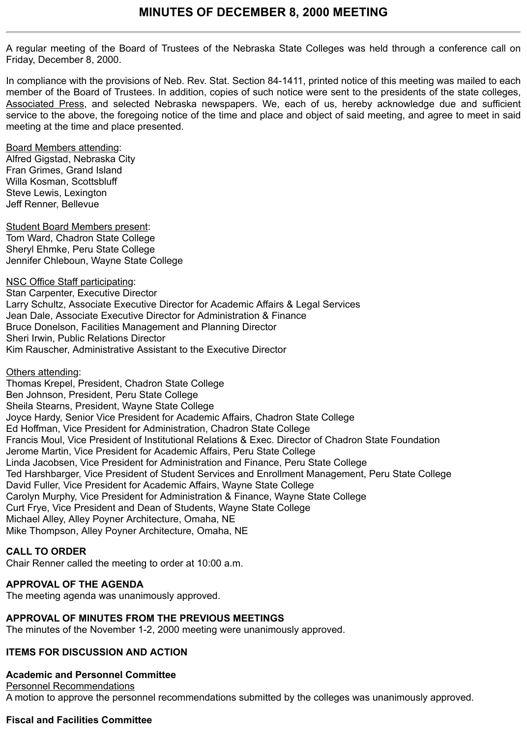A regular meeting of the Board of Trustees of the Nebraska State Colleges was held through a conference call on Friday, December 8, 2000.

In compliance with the provisions of Neb. Rev. Stat. Section 84-1411, printed notice of this meeting was mailed to each member of the Board of Trustees. In addition, copies of such notice were sent to the presidents of the state colleges, Associated Press, and selected Nebraska newspapers. We, each of us, hereby acknowledge due and sufficient service to the above, the foregoing notice of the time and place and object of said meeting, and agree to meet in said meeting at the time and place presented.

Board Members attending: Alfred Gigstad, Nebraska City Fran Grimes, Grand Island Willa Kosman, Scottsbluff Steve Lewis, Lexington Jeff Renner, Bellevue

Student Board Members present: Tom Ward, Chadron State College Sheryl Ehmke, Peru State College Jennifer Chleboun, Wayne State College

NSC Office Staff participating: Stan Carpenter, Executive Director Larry Schultz, Associate Executive Director for Academic Affairs & Legal Services Jean Dale, Associate Executive Director for Administration & Finance Bruce Donelson, Facilities Management and Planning Director Sheri Irwin, Public Relations Director Kim Rauscher, Administrative Assistant to the Executive Director

Others attending: Thomas Krepel, President, Chadron State College

Ben Johnson, President, Peru State College Sheila Stearns, President, Wayne State College Joyce Hardy, Senior Vice President for Academic Affairs, Chadron State College Ed Hoffman, Vice President for Administration, Chadron State College Francis Moul, Vice President of Institutional Relations & Exec. Director of Chadron State Foundation Jerome Martin, Vice President for Academic Affairs, Peru State College Linda Jacobsen, Vice President for Administration and Finance, Peru State College Ted Harshbarger, Vice President of Student Services and Enrollment Management, Peru State College David Fuller, Vice President for Academic Affairs, Wayne State College Carolyn Murphy, Vice President for Administration & Finance, Wayne State College Curt Frye, Vice President and Dean of Students, Wayne State College Michael Alley, Alley Poyner Architecture, Omaha, NE Mike Thompson, Alley Poyner Architecture, Omaha, NE

## **CALL TO ORDER**

Chair Renner called the meeting to order at 10:00 a.m.

## **APPROVAL OF THE AGENDA**

The meeting agenda was unanimously approved.

## **APPROVAL OF MINUTES FROM THE PREVIOUS MEETINGS**

The minutes of the November 1-2, 2000 meeting were unanimously approved.

# **ITEMS FOR DISCUSSION AND ACTION**

**Academic and Personnel Committee** Personnel Recommendations A motion to approve the personnel recommendations submitted by the colleges was unanimously approved.

# **Fiscal and Facilities Committee**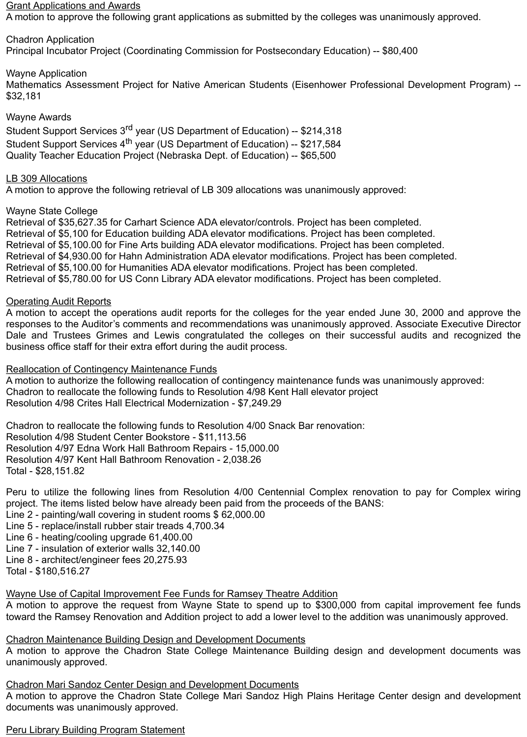#### Grant Applications and Awards

A motion to approve the following grant applications as submitted by the colleges was unanimously approved.

Chadron Application Principal Incubator Project (Coordinating Commission for Postsecondary Education) -- \$80,400

## Wayne Application

Mathematics Assessment Project for Native American Students (Eisenhower Professional Development Program) -- \$32,181

### Wayne Awards

Student Support Services 3rd year (US Department of Education) -- \$214,318 Student Support Services 4<sup>th</sup> year (US Department of Education) -- \$217,584 Quality Teacher Education Project (Nebraska Dept. of Education) -- \$65,500

### LB 309 Allocations

A motion to approve the following retrieval of LB 309 allocations was unanimously approved:

### Wayne State College

Retrieval of \$35,627.35 for Carhart Science ADA elevator/controls. Project has been completed. Retrieval of \$5,100 for Education building ADA elevator modifications. Project has been completed. Retrieval of \$5,100.00 for Fine Arts building ADA elevator modifications. Project has been completed. Retrieval of \$4,930.00 for Hahn Administration ADA elevator modifications. Project has been completed. Retrieval of \$5,100.00 for Humanities ADA elevator modifications. Project has been completed. Retrieval of \$5,780.00 for US Conn Library ADA elevator modifications. Project has been completed.

### Operating Audit Reports

A motion to accept the operations audit reports for the colleges for the year ended June 30, 2000 and approve the responses to the Auditor's comments and recommendations was unanimously approved. Associate Executive Director Dale and Trustees Grimes and Lewis congratulated the colleges on their successful audits and recognized the business office staff for their extra effort during the audit process.

#### Reallocation of Contingency Maintenance Funds

A motion to authorize the following reallocation of contingency maintenance funds was unanimously approved: Chadron to reallocate the following funds to Resolution 4/98 Kent Hall elevator project Resolution 4/98 Crites Hall Electrical Modernization - \$7,249.29

Chadron to reallocate the following funds to Resolution 4/00 Snack Bar renovation: Resolution 4/98 Student Center Bookstore - \$11,113.56 Resolution 4/97 Edna Work Hall Bathroom Repairs - 15,000.00 Resolution 4/97 Kent Hall Bathroom Renovation - 2,038.26 Total - \$28,151.82

Peru to utilize the following lines from Resolution 4/00 Centennial Complex renovation to pay for Complex wiring project. The items listed below have already been paid from the proceeds of the BANS:

- Line 2 painting/wall covering in student rooms \$ 62,000.00
- Line 5 replace/install rubber stair treads 4,700.34
- Line 6 heating/cooling upgrade 61,400.00
- Line 7 insulation of exterior walls 32,140.00
- Line 8 architect/engineer fees 20,275.93

Total - \$180,516.27

## Wayne Use of Capital Improvement Fee Funds for Ramsey Theatre Addition

A motion to approve the request from Wayne State to spend up to \$300,000 from capital improvement fee funds toward the Ramsey Renovation and Addition project to add a lower level to the addition was unanimously approved.

## Chadron Maintenance Building Design and Development Documents

A motion to approve the Chadron State College Maintenance Building design and development documents was unanimously approved.

#### Chadron Mari Sandoz Center Design and Development Documents

A motion to approve the Chadron State College Mari Sandoz High Plains Heritage Center design and development documents was unanimously approved.

# Peru Library Building Program Statement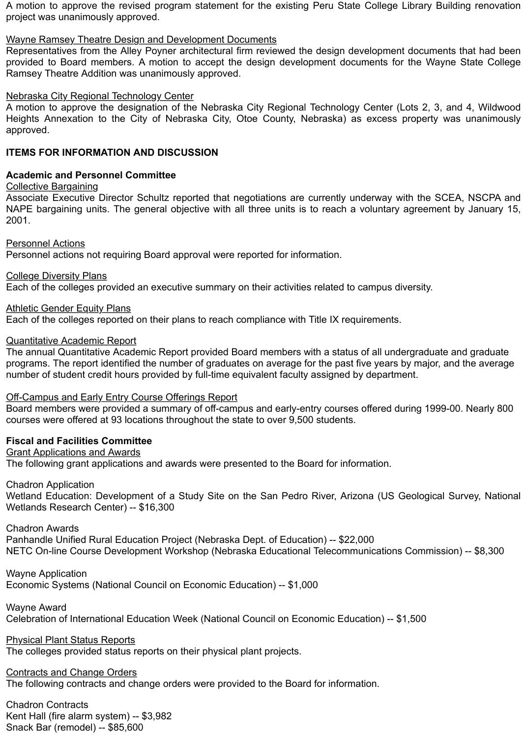A motion to approve the revised program statement for the existing Peru State College Library Building renovation project was unanimously approved.

#### Wayne Ramsey Theatre Design and Development Documents

Representatives from the Alley Poyner architectural firm reviewed the design development documents that had been provided to Board members. A motion to accept the design development documents for the Wayne State College Ramsey Theatre Addition was unanimously approved.

#### Nebraska City Regional Technology Center

A motion to approve the designation of the Nebraska City Regional Technology Center (Lots 2, 3, and 4, Wildwood Heights Annexation to the City of Nebraska City, Otoe County, Nebraska) as excess property was unanimously approved.

#### **ITEMS FOR INFORMATION AND DISCUSSION**

#### **Academic and Personnel Committee**

Collective Bargaining

Associate Executive Director Schultz reported that negotiations are currently underway with the SCEA, NSCPA and NAPE bargaining units. The general objective with all three units is to reach a voluntary agreement by January 15, 2001.

Personnel Actions

Personnel actions not requiring Board approval were reported for information.

College Diversity Plans

Each of the colleges provided an executive summary on their activities related to campus diversity.

Athletic Gender Equity Plans Each of the colleges reported on their plans to reach compliance with Title IX requirements.

Quantitative Academic Report

The annual Quantitative Academic Report provided Board members with a status of all undergraduate and graduate programs. The report identified the number of graduates on average for the past five years by major, and the average number of student credit hours provided by full-time equivalent faculty assigned by department.

#### Off-Campus and Early Entry Course Offerings Report

Board members were provided a summary of off-campus and early-entry courses offered during 1999-00. Nearly 800 courses were offered at 93 locations throughout the state to over 9,500 students.

#### **Fiscal and Facilities Committee**

Grant Applications and Awards

The following grant applications and awards were presented to the Board for information.

Chadron Application

Wetland Education: Development of a Study Site on the San Pedro River, Arizona (US Geological Survey, National Wetlands Research Center) -- \$16,300

Chadron Awards

Panhandle Unified Rural Education Project (Nebraska Dept. of Education) -- \$22,000 NETC On-line Course Development Workshop (Nebraska Educational Telecommunications Commission) -- \$8,300

Wayne Application Economic Systems (National Council on Economic Education) -- \$1,000

Wayne Award Celebration of International Education Week (National Council on Economic Education) -- \$1,500

Physical Plant Status Reports The colleges provided status reports on their physical plant projects.

Contracts and Change Orders

The following contracts and change orders were provided to the Board for information.

Chadron Contracts Kent Hall (fire alarm system) -- \$3,982 Snack Bar (remodel) -- \$85,600